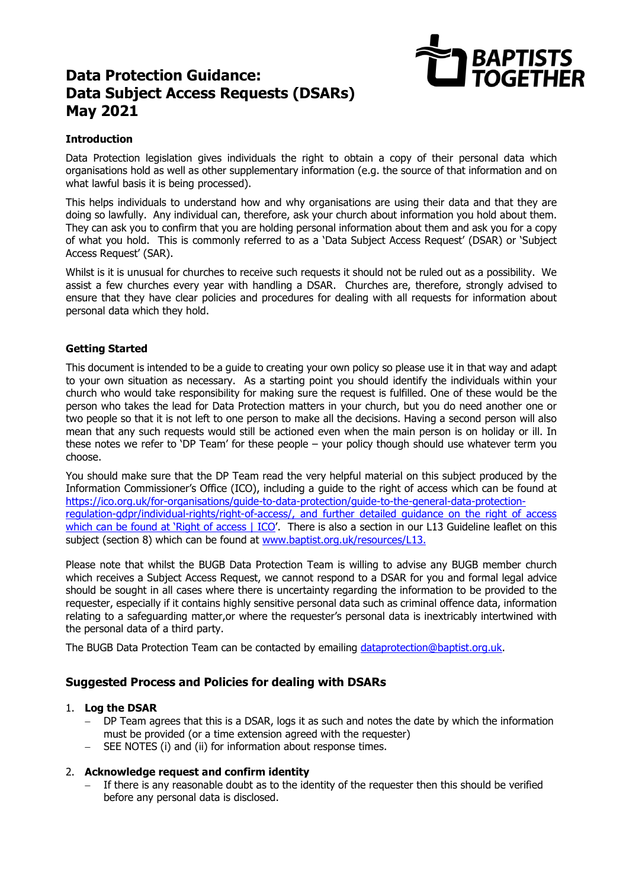# **Data Protection Guidance: Data Subject Access Requests (DSARs) May 2021**



## **Introduction**

Data Protection legislation gives individuals the right to obtain a copy of their personal data which organisations hold as well as other supplementary information (e.g. the source of that information and on what lawful basis it is being processed).

This helps individuals to understand how and why organisations are using their data and that they are doing so lawfully. Any individual can, therefore, ask your church about information you hold about them. They can ask you to confirm that you are holding personal information about them and ask you for a copy of what you hold. This is commonly referred to as a 'Data Subject Access Request' (DSAR) or 'Subject Access Request' (SAR).

Whilst is it is unusual for churches to receive such requests it should not be ruled out as a possibility. We assist a few churches every year with handling a DSAR. Churches are, therefore, strongly advised to ensure that they have clear policies and procedures for dealing with all requests for information about personal data which they hold.

### **Getting Started**

This document is intended to be a guide to creating your own policy so please use it in that way and adapt to your own situation as necessary. As a starting point you should identify the individuals within your church who would take responsibility for making sure the request is fulfilled. One of these would be the person who takes the lead for Data Protection matters in your church, but you do need another one or two people so that it is not left to one person to make all the decisions. Having a second person will also mean that any such requests would still be actioned even when the main person is on holiday or ill. In these notes we refer to 'DP Team' for these people – your policy though should use whatever term you choose.

You should make sure that the DP Team read the very helpful material on this subject produced by the Information Commissioner's Office (ICO), including a guide to the right of access which can be found at [https://ico.org.uk/for-organisations/guide-to-data-protection/guide-to-the-general-data-protection](https://ico.org.uk/for-organisations/guide-to-data-protection/guide-to-the-general-data-protection-regulation-gdpr/individual-rights/right-of-access/)[regulation-gdpr/individual-rights/right-of-access/,](https://ico.org.uk/for-organisations/guide-to-data-protection/guide-to-the-general-data-protection-regulation-gdpr/individual-rights/right-of-access/) and further detailed guidance on the right of access which can be found at ['Right of access | ICO'.](https://ico.org.uk/for-organisations/guide-to-data-protection/guide-to-the-general-data-protection-regulation-gdpr/right-of-access/) There is also a section in our L13 Guideline leaflet on this subject (section 8) which can be found at [www.baptist.org.uk/resources/L13.](http://www.baptist.org.uk/resources/L13)

Please note that whilst the BUGB Data Protection Team is willing to advise any BUGB member church which receives a Subject Access Request, we cannot respond to a DSAR for you and formal legal advice should be sought in all cases where there is uncertainty regarding the information to be provided to the requester, especially if it contains highly sensitive personal data such as criminal offence data, information relating to a safeguarding matter,or where the requester's personal data is inextricably intertwined with the personal data of a third party.

The BUGB Data Protection Team can be contacted by emailing [dataprotection@baptist.org.uk.](mailto:dataprotection@baptist.org.uk)

## **Suggested Process and Policies for dealing with DSARs**

#### 1. **Log the DSAR**

- − DP Team agrees that this is a DSAR, logs it as such and notes the date by which the information must be provided (or a time extension agreed with the requester)
- SEE NOTES (i) and (ii) for information about response times.

#### 2. **Acknowledge request and confirm identity**

If there is any reasonable doubt as to the identity of the requester then this should be verified before any personal data is disclosed.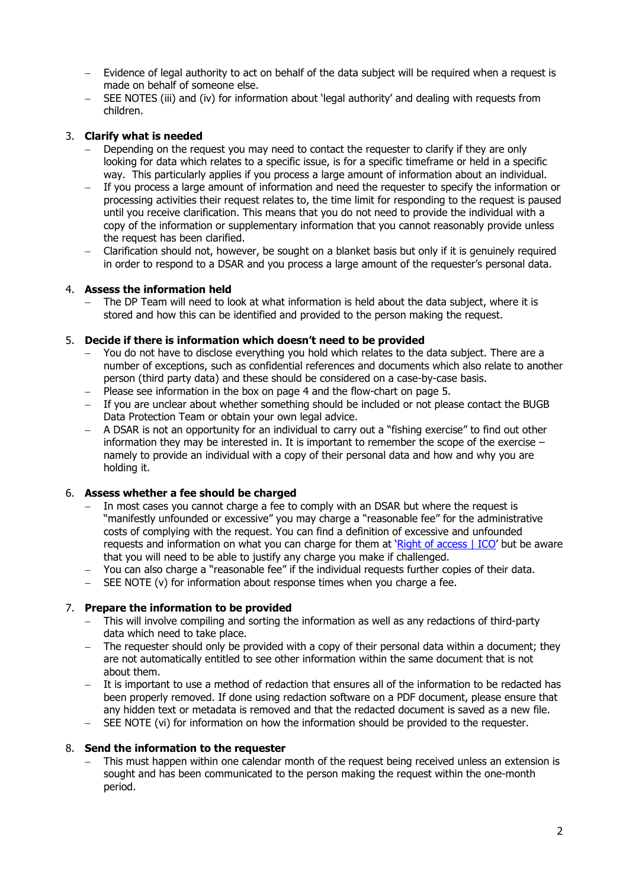- Evidence of legal authority to act on behalf of the data subject will be required when a request is made on behalf of someone else.
- − SEE NOTES (iii) and (iv) for information about 'legal authority' and dealing with requests from children.

## 3. **Clarify what is needed**

- Depending on the request you may need to contact the requester to clarify if they are only looking for data which relates to a specific issue, is for a specific timeframe or held in a specific way. This particularly applies if you process a large amount of information about an individual.
- If you process a large amount of information and need the requester to specify the information or processing activities their request relates to, the time limit for responding to the request is paused until you receive clarification. This means that you do not need to provide the individual with a copy of the information or supplementary information that you cannot reasonably provide unless the request has been clarified.
- − Clarification should not, however, be sought on a blanket basis but only if it is genuinely required in order to respond to a DSAR and you process a large amount of the requester's personal data.

### 4. **Assess the information held**

The DP Team will need to look at what information is held about the data subject, where it is stored and how this can be identified and provided to the person making the request.

### 5. **Decide if there is information which doesn't need to be provided**

- − You do not have to disclose everything you hold which relates to the data subject. There are a number of exceptions, such as confidential references and documents which also relate to another person (third party data) and these should be considered on a case-by-case basis.
- Please see information in the box on page 4 and the flow-chart on page 5.
- − If you are unclear about whether something should be included or not please contact the BUGB Data Protection Team or obtain your own legal advice.
- − A DSAR is not an opportunity for an individual to carry out a "fishing exercise" to find out other information they may be interested in. It is important to remember the scope of the exercise – namely to provide an individual with a copy of their personal data and how and why you are holding it.

## 6. **Assess whether a fee should be charged**

- In most cases you cannot charge a fee to comply with an DSAR but where the request is "manifestly unfounded or excessive" you may charge a "reasonable fee" for the administrative costs of complying with the request. You can find a definition of excessive and unfounded requests and information on what you can charge for them at ['Right of access | ICO'](https://ico.org.uk/for-organisations/guide-to-data-protection/guide-to-the-general-data-protection-regulation-gdpr/right-of-access/) but be aware that you will need to be able to justify any charge you make if challenged.
- − You can also charge a "reasonable fee" if the individual requests further copies of their data.
- − SEE NOTE (v) for information about response times when you charge a fee.

## 7. **Prepare the information to be provided**

- − This will involve compiling and sorting the information as well as any redactions of third-party data which need to take place.
- − The requester should only be provided with a copy of their personal data within a document; they are not automatically entitled to see other information within the same document that is not about them.
- − It is important to use a method of redaction that ensures all of the information to be redacted has been properly removed. If done using redaction software on a PDF document, please ensure that any hidden text or metadata is removed and that the redacted document is saved as a new file.
- − SEE NOTE (vi) for information on how the information should be provided to the requester.

## 8. **Send the information to the requester**

This must happen within one calendar month of the request being received unless an extension is sought and has been communicated to the person making the request within the one-month period.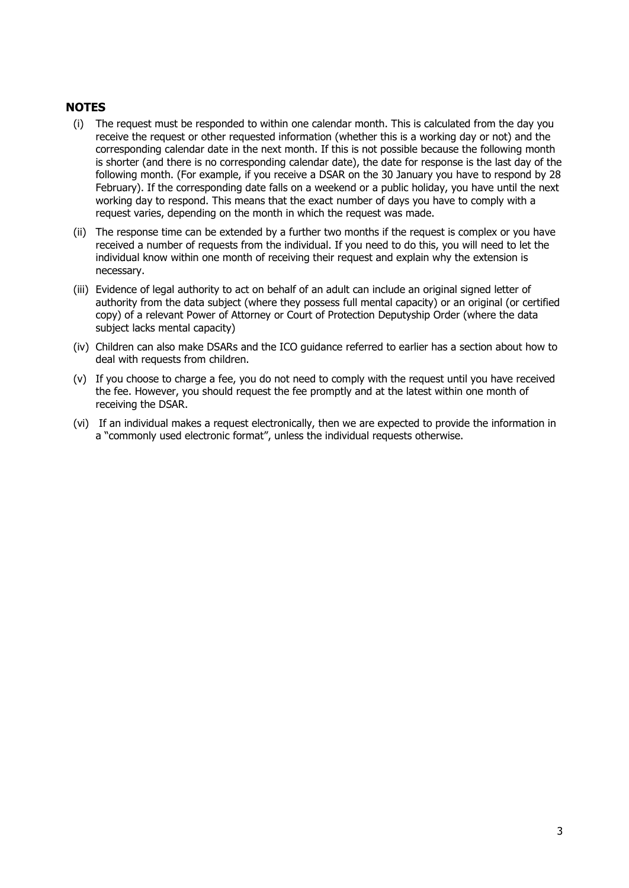## **NOTES**

- (i) The request must be responded to within one calendar month. This is calculated from the day you receive the request or other requested information (whether this is a working day or not) and the corresponding calendar date in the next month. If this is not possible because the following month is shorter (and there is no corresponding calendar date), the date for response is the last day of the following month. (For example, if you receive a DSAR on the 30 January you have to respond by 28 February). If the corresponding date falls on a weekend or a public holiday, you have until the next working day to respond. This means that the exact number of days you have to comply with a request varies, depending on the month in which the request was made.
- (ii) The response time can be extended by a further two months if the request is complex or you have received a number of requests from the individual. If you need to do this, you will need to let the individual know within one month of receiving their request and explain why the extension is necessary.
- (iii) Evidence of legal authority to act on behalf of an adult can include an original signed letter of authority from the data subject (where they possess full mental capacity) or an original (or certified copy) of a relevant Power of Attorney or Court of Protection Deputyship Order (where the data subject lacks mental capacity)
- (iv) Children can also make DSARs and the ICO guidance referred to earlier has a section about how to deal with requests from children.
- (v) If you choose to charge a fee, you do not need to comply with the request until you have received the fee. However, you should request the fee promptly and at the latest within one month of receiving the DSAR.
- (vi) If an individual makes a request electronically, then we are expected to provide the information in a "commonly used electronic format", unless the individual requests otherwise.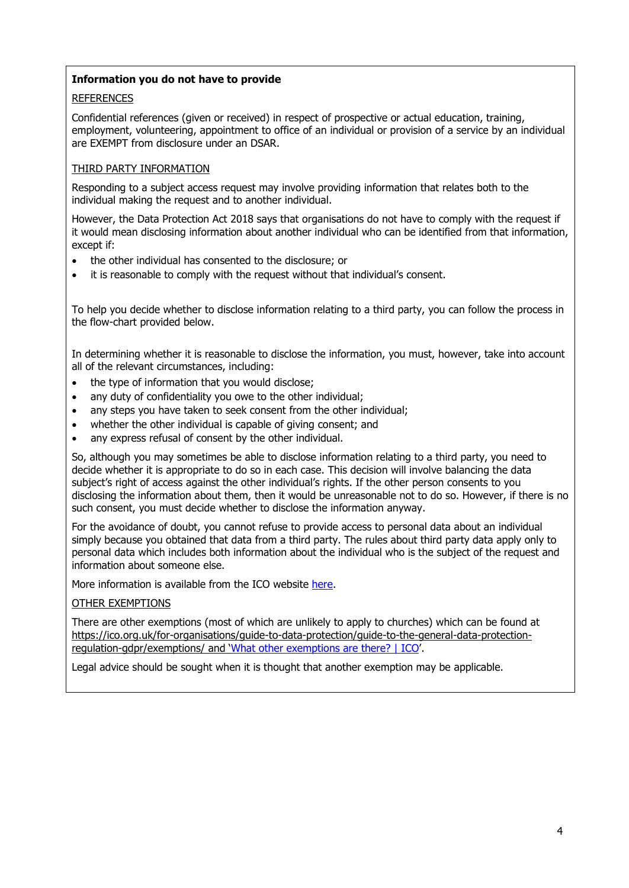## **Information you do not have to provide**

#### **REFERENCES**

Confidential references (given or received) in respect of prospective or actual education, training, employment, volunteering, appointment to office of an individual or provision of a service by an individual are EXEMPT from disclosure under an DSAR.

### THIRD PARTY INFORMATION

Responding to a subject access request may involve providing information that relates both to the individual making the request and to another individual.

However, the Data Protection Act 2018 says that organisations do not have to comply with the request if it would mean disclosing information about another individual who can be identified from that information, except if:

- the other individual has consented to the disclosure; or
- it is reasonable to comply with the request without that individual's consent.

To help you decide whether to disclose information relating to a third party, you can follow the process in the flow-chart provided below.

In determining whether it is reasonable to disclose the information, you must, however, take into account all of the relevant circumstances, including:

- the type of information that you would disclose;
- any duty of confidentiality you owe to the other individual;
- any steps you have taken to seek consent from the other individual;
- whether the other individual is capable of giving consent; and
- any express refusal of consent by the other individual.

So, although you may sometimes be able to disclose information relating to a third party, you need to decide whether it is appropriate to do so in each case. This decision will involve balancing the data subject's right of access against the other individual's rights. If the other person consents to you disclosing the information about them, then it would be unreasonable not to do so. However, if there is no such consent, you must decide whether to disclose the information anyway.

For the avoidance of doubt, you cannot refuse to provide access to personal data about an individual simply because you obtained that data from a third party. The rules about third party data apply only to personal data which includes both information about the individual who is the subject of the request and information about someone else.

More information is available from the ICO website [here.](https://ico.org.uk/for-organisations/guide-to-data-protection/guide-to-the-general-data-protection-regulation-gdpr/right-of-access/information-about-other-individuals/)

#### OTHER EXEMPTIONS

There are other exemptions (most of which are unlikely to apply to churches) which can be found at [https://ico.org.uk/for-organisations/guide-to-data-protection/guide-to-the-general-data-protection](https://ico.org.uk/for-organisations/guide-to-data-protection/guide-to-the-general-data-protection-regulation-gdpr/exemptions/)[regulation-gdpr/exemptions/](https://ico.org.uk/for-organisations/guide-to-data-protection/guide-to-the-general-data-protection-regulation-gdpr/exemptions/) and ['What other exemptions are there? | ICO'](https://ico.org.uk/for-organisations/guide-to-data-protection/guide-to-the-general-data-protection-regulation-gdpr/right-of-access/what-other-exemptions-are-there/).

Legal advice should be sought when it is thought that another exemption may be applicable.